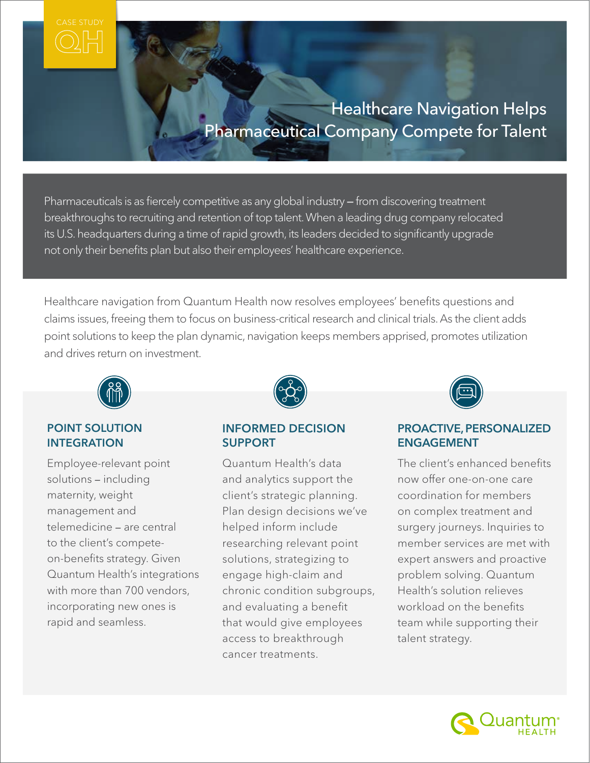# **Healthcare Navigation Helps** Pharmaceutical Company Compete for Talent

Pharmaceuticals is as fiercely competitive as any global industry *—* from discovering treatment breakthroughs to recruiting and retention of top talent. When a leading drug company relocated its U.S. headquarters during a time of rapid growth, its leaders decided to significantly upgrade not only their benefits plan but also their employees' healthcare experience.

Healthcare navigation from Quantum Health now resolves employees' benefits questions and claims issues, freeing them to focus on business-critical research and clinical trials. As the client adds point solutions to keep the plan dynamic, navigation keeps members apprised, promotes utilization and drives return on investment.



# POINT SOLUTION INTEGRATION

Employee-relevant point solutions *—* including maternity, weight management and telemedicine *—* are central to the client's competeon-benefits strategy. Given Quantum Health's integrations with more than 700 vendors. incorporating new ones is rapid and seamless.



# INFORMED DECISION SUPPORT

Quantum Health's data and analytics support the client's strategic planning. Plan design decisions we've helped inform include researching relevant point solutions, strategizing to engage high-claim and chronic condition subgroups, and evaluating a benefit that would give employees access to breakthrough cancer treatments.



# PROACTIVE, PERSONALIZED ENGAGEMENT

The client's enhanced benefits now offer one-on-one care coordination for members on complex treatment and surgery journeys. Inquiries to member services are met with expert answers and proactive problem solving. Quantum Health's solution relieves workload on the benefits team while supporting their talent strategy.